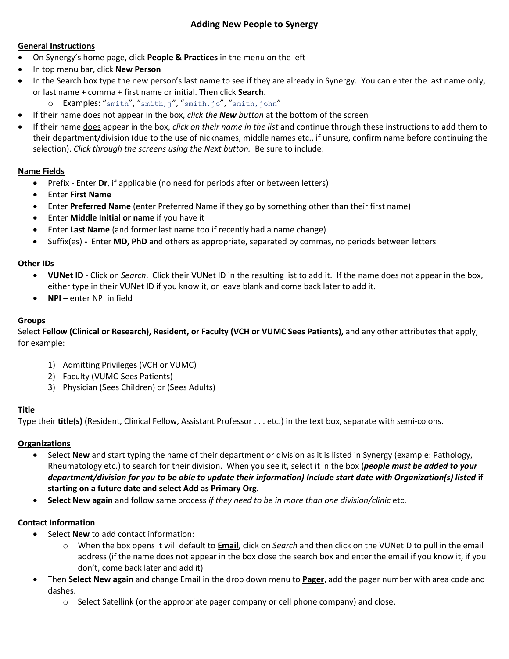# **Adding New People to Synergy**

### **General Instructions**

- On Synergy's home page, click **People & Practices** in the menu on the left
- In top menu bar, click **New Person**
- In the Search box type the new person's last name to see if they are already in Synergy. You can enter the last name only, or last name + comma + first name or initial. Then click **Search**.
	- o Examples: "smith", "smith, j", "smith, jo", "smith, john"
- If their name does not appear in the box, *click the New button* at the bottom of the screen
- If their name does appear in the box, *click on their name in the list* and continue through these instructions to add them to their department/division (due to the use of nicknames, middle names etc., if unsure, confirm name before continuing the selection). *Click through the screens using the Next button.* Be sure to include:

### **Name Fields**

- Prefix Enter **Dr**, if applicable (no need for periods after or between letters)
- Enter **First Name**
- Enter **Preferred Name** (enter Preferred Name if they go by something other than their first name)
- Enter **Middle Initial or name** if you have it
- Enter **Last Name** (and former last name too if recently had a name change)
- Suffix(es) Enter **MD, PhD** and others as appropriate, separated by commas, no periods between letters

### **Other IDs**

- **VUNet ID** Click on *Search*. Click their VUNet ID in the resulting list to add it. If the name does not appear in the box, either type in their VUNet ID if you know it, or leave blank and come back later to add it.
- **• NPI** enter NPI in field

## **Groups**

Select **Fellow (Clinical or Research), Resident, or Faculty (VCH or VUMC Sees Patients),** and any other attributes that apply, for example:

- 1) Admitting Privileges (VCH or VUMC)
- 2) Faculty (VUMC-Sees Patients)
- 3) Physician (Sees Children) or (Sees Adults)

## **Title**

Type their **title(s)** (Resident, Clinical Fellow, Assistant Professor . . . etc.) in the text box, separate with semi-colons.

## **Organizations**

- Select **New** and start typing the name of their department or division as it is listed in Synergy (example: Pathology, Rheumatology etc.) to search for their division. When you see it, select it in the box (*people must be added to your department/division for you to be able to update their information) Include start date with Organization(s) listed* **if starting on a future date and select Add as Primary Org.**
- **Select New again** and follow same process *if they need to be in more than one division/clinic* etc.

## **Contact Information**

- Select **New** to add contact information:
	- o When the box opens it will default to **Email**, click on *Search* and then click on the VUNetID to pull in the email address (if the name does not appear in the box close the search box and enter the email if you know it, if you don't, come back later and add it)
- Then **Select New again** and change Email in the drop down menu to **Pager**, add the pager number with area code and dashes.
	- $\circ$  Select Satellink (or the appropriate pager company or cell phone company) and close.